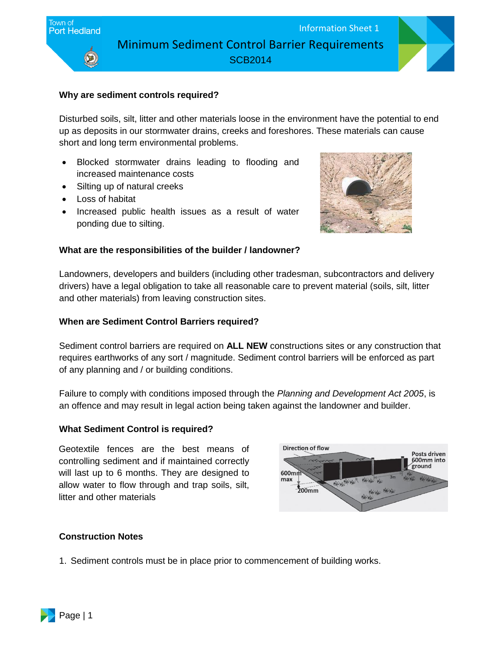

### **Why are sediment controls required?**

Disturbed soils, silt, litter and other materials loose in the environment have the potential to end up as deposits in our stormwater drains, creeks and foreshores. These materials can cause short and long term environmental problems.

- Blocked stormwater drains leading to flooding and increased maintenance costs
- Silting up of natural creeks
- Loss of habitat
- Increased public health issues as a result of water ponding due to silting.



#### **What are the responsibilities of the builder / landowner?**

Landowners, developers and builders (including other tradesman, subcontractors and delivery drivers) have a legal obligation to take all reasonable care to prevent material (soils, silt, litter and other materials) from leaving construction sites.

#### **When are Sediment Control Barriers required?**

Sediment control barriers are required on **ALL NEW** constructions sites or any construction that requires earthworks of any sort / magnitude. Sediment control barriers will be enforced as part of any planning and / or building conditions.

Failure to comply with conditions imposed through the *Planning and Development Act 2005*, is an offence and may result in legal action being taken against the landowner and builder.

#### **What Sediment Control is required?**

Geotextile fences are the best means of controlling sediment and if maintained correctly will last up to 6 months. They are designed to allow water to flow through and trap soils, silt, litter and other materials



#### **Construction Notes**

1. Sediment controls must be in place prior to commencement of building works.